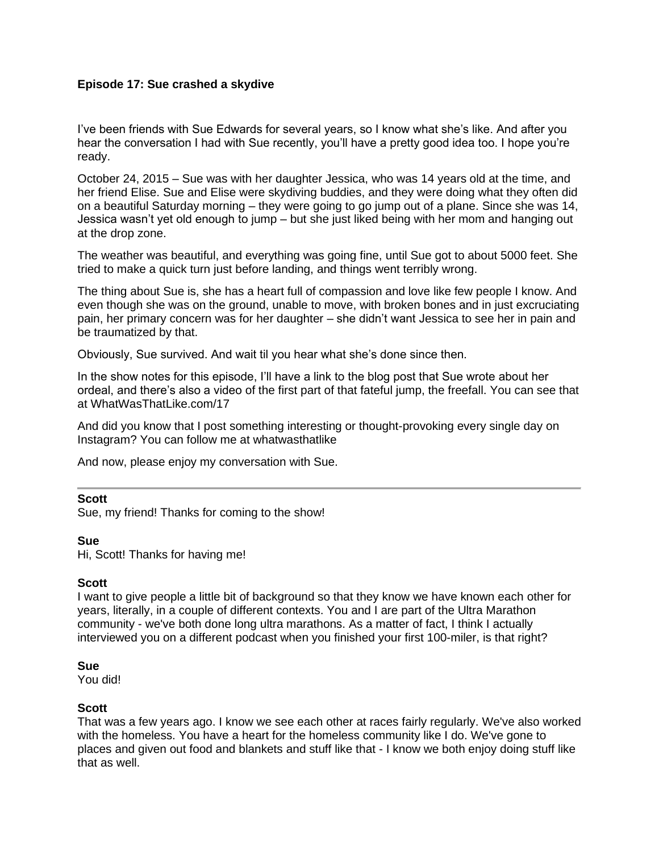### **Episode 17: Sue crashed a skydive**

I've been friends with Sue Edwards for several years, so I know what she's like. And after you hear the conversation I had with Sue recently, you'll have a pretty good idea too. I hope you're ready.

October 24, 2015 – Sue was with her daughter Jessica, who was 14 years old at the time, and her friend Elise. Sue and Elise were skydiving buddies, and they were doing what they often did on a beautiful Saturday morning – they were going to go jump out of a plane. Since she was 14, Jessica wasn't yet old enough to jump – but she just liked being with her mom and hanging out at the drop zone.

The weather was beautiful, and everything was going fine, until Sue got to about 5000 feet. She tried to make a quick turn just before landing, and things went terribly wrong.

The thing about Sue is, she has a heart full of compassion and love like few people I know. And even though she was on the ground, unable to move, with broken bones and in just excruciating pain, her primary concern was for her daughter – she didn't want Jessica to see her in pain and be traumatized by that.

Obviously, Sue survived. And wait til you hear what she's done since then.

In the show notes for this episode, I'll have a link to the blog post that Sue wrote about her ordeal, and there's also a video of the first part of that fateful jump, the freefall. You can see that at WhatWasThatLike.com/17

And did you know that I post something interesting or thought-provoking every single day on Instagram? You can follow me at whatwasthatlike

And now, please enjoy my conversation with Sue.

#### **Scott**

Sue, my friend! Thanks for coming to the show!

#### **Sue**

Hi, Scott! Thanks for having me!

#### **Scott**

I want to give people a little bit of background so that they know we have known each other for years, literally, in a couple of different contexts. You and I are part of the Ultra Marathon community - we've both done long ultra marathons. As a matter of fact, I think I actually interviewed you on a different podcast when you finished your first 100-miler, is that right?

#### **Sue**

You did!

#### **Scott**

That was a few years ago. I know we see each other at races fairly regularly. We've also worked with the homeless. You have a heart for the homeless community like I do. We've gone to places and given out food and blankets and stuff like that - I know we both enjoy doing stuff like that as well.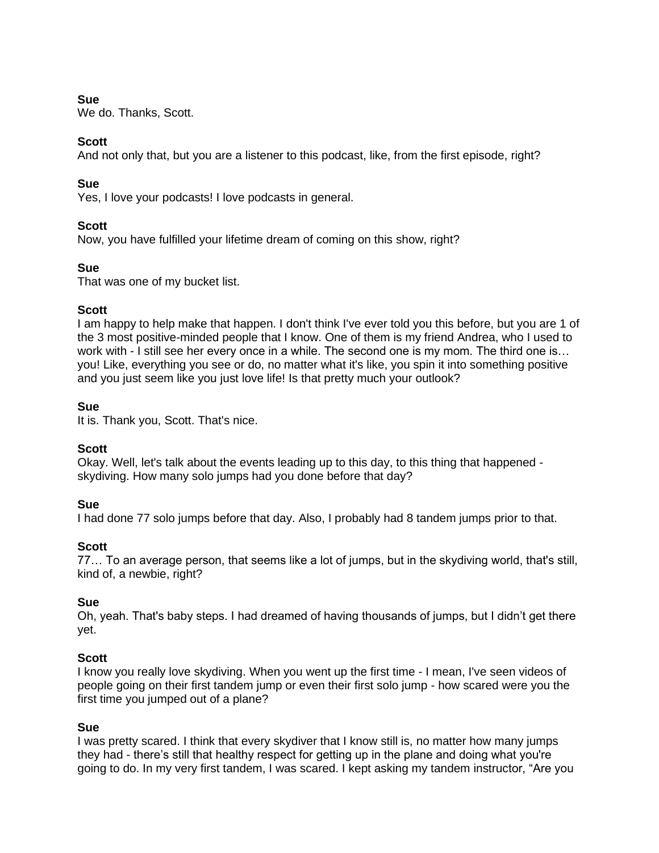# **Sue**

We do. Thanks, Scott.

# **Scott**

And not only that, but you are a listener to this podcast, like, from the first episode, right?

# **Sue**

Yes, I love your podcasts! I love podcasts in general.

# **Scott**

Now, you have fulfilled your lifetime dream of coming on this show, right?

# **Sue**

That was one of my bucket list.

# **Scott**

I am happy to help make that happen. I don't think I've ever told you this before, but you are 1 of the 3 most positive-minded people that I know. One of them is my friend Andrea, who I used to work with - I still see her every once in a while. The second one is my mom. The third one is... you! Like, everything you see or do, no matter what it's like, you spin it into something positive and you just seem like you just love life! Is that pretty much your outlook?

# **Sue**

It is. Thank you, Scott. That's nice.

# **Scott**

Okay. Well, let's talk about the events leading up to this day, to this thing that happened skydiving. How many solo jumps had you done before that day?

# **Sue**

I had done 77 solo jumps before that day. Also, I probably had 8 tandem jumps prior to that.

# **Scott**

77… To an average person, that seems like a lot of jumps, but in the skydiving world, that's still, kind of, a newbie, right?

# **Sue**

Oh, yeah. That's baby steps. I had dreamed of having thousands of jumps, but I didn't get there yet.

# **Scott**

I know you really love skydiving. When you went up the first time - I mean, I've seen videos of people going on their first tandem jump or even their first solo jump - how scared were you the first time you jumped out of a plane?

# **Sue**

I was pretty scared. I think that every skydiver that I know still is, no matter how many jumps they had - there's still that healthy respect for getting up in the plane and doing what you're going to do. In my very first tandem, I was scared. I kept asking my tandem instructor, "Are you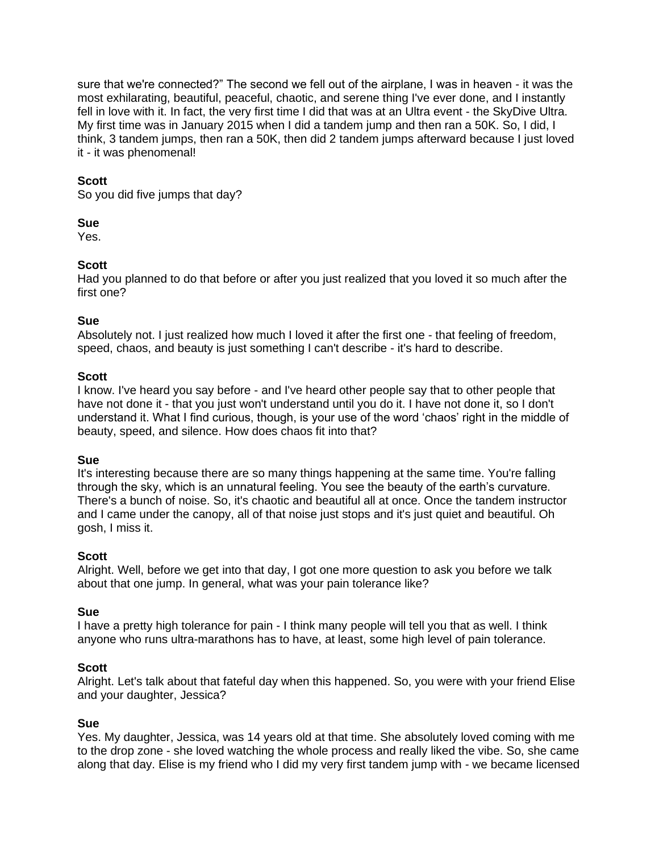sure that we're connected?" The second we fell out of the airplane, I was in heaven - it was the most exhilarating, beautiful, peaceful, chaotic, and serene thing I've ever done, and I instantly fell in love with it. In fact, the very first time I did that was at an Ultra event - the SkyDive Ultra. My first time was in January 2015 when I did a tandem jump and then ran a 50K. So, I did, I think, 3 tandem jumps, then ran a 50K, then did 2 tandem jumps afterward because I just loved it - it was phenomenal!

### **Scott**

So you did five jumps that day?

#### **Sue**

Yes.

#### **Scott**

Had you planned to do that before or after you just realized that you loved it so much after the first one?

#### **Sue**

Absolutely not. I just realized how much I loved it after the first one - that feeling of freedom, speed, chaos, and beauty is just something I can't describe - it's hard to describe.

#### **Scott**

I know. I've heard you say before - and I've heard other people say that to other people that have not done it - that you just won't understand until you do it. I have not done it, so I don't understand it. What I find curious, though, is your use of the word 'chaos' right in the middle of beauty, speed, and silence. How does chaos fit into that?

#### **Sue**

It's interesting because there are so many things happening at the same time. You're falling through the sky, which is an unnatural feeling. You see the beauty of the earth's curvature. There's a bunch of noise. So, it's chaotic and beautiful all at once. Once the tandem instructor and I came under the canopy, all of that noise just stops and it's just quiet and beautiful. Oh gosh, I miss it.

#### **Scott**

Alright. Well, before we get into that day, I got one more question to ask you before we talk about that one jump. In general, what was your pain tolerance like?

#### **Sue**

I have a pretty high tolerance for pain - I think many people will tell you that as well. I think anyone who runs ultra-marathons has to have, at least, some high level of pain tolerance.

#### **Scott**

Alright. Let's talk about that fateful day when this happened. So, you were with your friend Elise and your daughter, Jessica?

#### **Sue**

Yes. My daughter, Jessica, was 14 years old at that time. She absolutely loved coming with me to the drop zone - she loved watching the whole process and really liked the vibe. So, she came along that day. Elise is my friend who I did my very first tandem jump with - we became licensed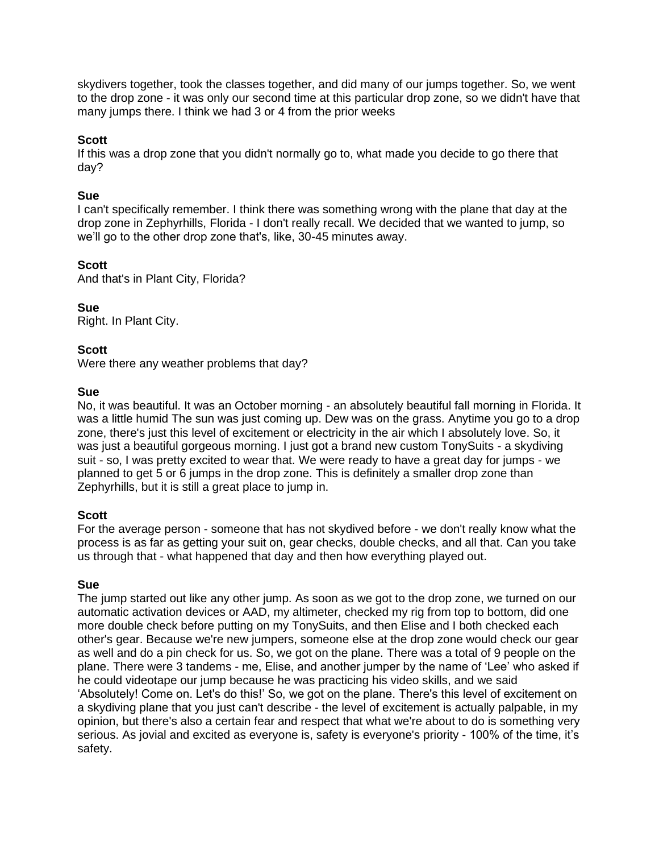skydivers together, took the classes together, and did many of our jumps together. So, we went to the drop zone - it was only our second time at this particular drop zone, so we didn't have that many jumps there. I think we had 3 or 4 from the prior weeks

### **Scott**

If this was a drop zone that you didn't normally go to, what made you decide to go there that day?

#### **Sue**

I can't specifically remember. I think there was something wrong with the plane that day at the drop zone in Zephyrhills, Florida - I don't really recall. We decided that we wanted to jump, so we'll go to the other drop zone that's, like, 30-45 minutes away.

# **Scott**

And that's in Plant City, Florida?

#### **Sue**

Right. In Plant City.

#### **Scott**

Were there any weather problems that day?

#### **Sue**

No, it was beautiful. It was an October morning - an absolutely beautiful fall morning in Florida. It was a little humid The sun was just coming up. Dew was on the grass. Anytime you go to a drop zone, there's just this level of excitement or electricity in the air which I absolutely love. So, it was just a beautiful gorgeous morning. I just got a brand new custom TonySuits - a skydiving suit - so, I was pretty excited to wear that. We were ready to have a great day for jumps - we planned to get 5 or 6 jumps in the drop zone. This is definitely a smaller drop zone than Zephyrhills, but it is still a great place to jump in.

# **Scott**

For the average person - someone that has not skydived before - we don't really know what the process is as far as getting your suit on, gear checks, double checks, and all that. Can you take us through that - what happened that day and then how everything played out.

# **Sue**

The jump started out like any other jump. As soon as we got to the drop zone, we turned on our automatic activation devices or AAD, my altimeter, checked my rig from top to bottom, did one more double check before putting on my TonySuits, and then Elise and I both checked each other's gear. Because we're new jumpers, someone else at the drop zone would check our gear as well and do a pin check for us. So, we got on the plane. There was a total of 9 people on the plane. There were 3 tandems - me, Elise, and another jumper by the name of 'Lee' who asked if he could videotape our jump because he was practicing his video skills, and we said 'Absolutely! Come on. Let's do this!' So, we got on the plane. There's this level of excitement on a skydiving plane that you just can't describe - the level of excitement is actually palpable, in my opinion, but there's also a certain fear and respect that what we're about to do is something very serious. As jovial and excited as everyone is, safety is everyone's priority - 100% of the time, it's safety.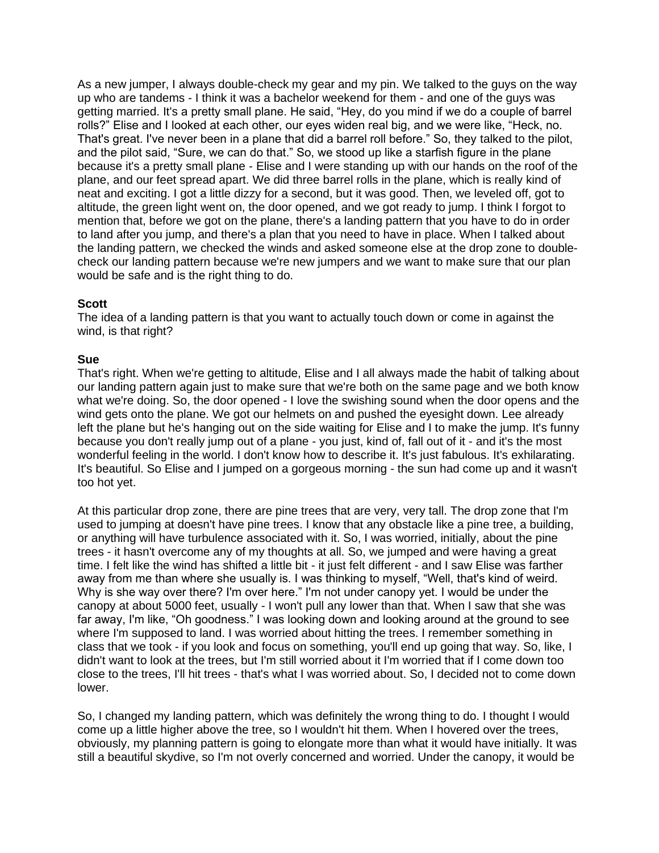As a new jumper, I always double-check my gear and my pin. We talked to the guys on the way up who are tandems - I think it was a bachelor weekend for them - and one of the guys was getting married. It's a pretty small plane. He said, "Hey, do you mind if we do a couple of barrel rolls?" Elise and I looked at each other, our eyes widen real big, and we were like, "Heck, no. That's great. I've never been in a plane that did a barrel roll before." So, they talked to the pilot, and the pilot said, "Sure, we can do that." So, we stood up like a starfish figure in the plane because it's a pretty small plane - Elise and I were standing up with our hands on the roof of the plane, and our feet spread apart. We did three barrel rolls in the plane, which is really kind of neat and exciting. I got a little dizzy for a second, but it was good. Then, we leveled off, got to altitude, the green light went on, the door opened, and we got ready to jump. I think I forgot to mention that, before we got on the plane, there's a landing pattern that you have to do in order to land after you jump, and there's a plan that you need to have in place. When I talked about the landing pattern, we checked the winds and asked someone else at the drop zone to doublecheck our landing pattern because we're new jumpers and we want to make sure that our plan would be safe and is the right thing to do.

#### **Scott**

The idea of a landing pattern is that you want to actually touch down or come in against the wind, is that right?

#### **Sue**

That's right. When we're getting to altitude, Elise and I all always made the habit of talking about our landing pattern again just to make sure that we're both on the same page and we both know what we're doing. So, the door opened - I love the swishing sound when the door opens and the wind gets onto the plane. We got our helmets on and pushed the eyesight down. Lee already left the plane but he's hanging out on the side waiting for Elise and I to make the jump. It's funny because you don't really jump out of a plane - you just, kind of, fall out of it - and it's the most wonderful feeling in the world. I don't know how to describe it. It's just fabulous. It's exhilarating. It's beautiful. So Elise and I jumped on a gorgeous morning - the sun had come up and it wasn't too hot yet.

At this particular drop zone, there are pine trees that are very, very tall. The drop zone that I'm used to jumping at doesn't have pine trees. I know that any obstacle like a pine tree, a building, or anything will have turbulence associated with it. So, I was worried, initially, about the pine trees - it hasn't overcome any of my thoughts at all. So, we jumped and were having a great time. I felt like the wind has shifted a little bit - it just felt different - and I saw Elise was farther away from me than where she usually is. I was thinking to myself, "Well, that's kind of weird. Why is she way over there? I'm over here." I'm not under canopy yet. I would be under the canopy at about 5000 feet, usually - I won't pull any lower than that. When I saw that she was far away, I'm like, "Oh goodness." I was looking down and looking around at the ground to see where I'm supposed to land. I was worried about hitting the trees. I remember something in class that we took - if you look and focus on something, you'll end up going that way. So, like, I didn't want to look at the trees, but I'm still worried about it I'm worried that if I come down too close to the trees, I'll hit trees - that's what I was worried about. So, I decided not to come down lower.

So, I changed my landing pattern, which was definitely the wrong thing to do. I thought I would come up a little higher above the tree, so I wouldn't hit them. When I hovered over the trees, obviously, my planning pattern is going to elongate more than what it would have initially. It was still a beautiful skydive, so I'm not overly concerned and worried. Under the canopy, it would be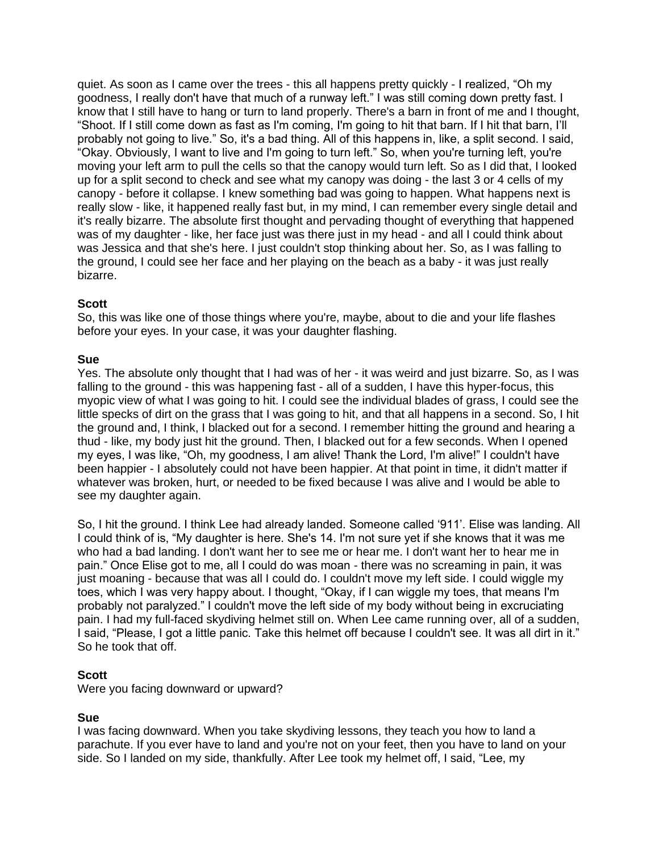quiet. As soon as I came over the trees - this all happens pretty quickly - I realized, "Oh my goodness, I really don't have that much of a runway left." I was still coming down pretty fast. I know that I still have to hang or turn to land properly. There's a barn in front of me and I thought, "Shoot. If I still come down as fast as I'm coming, I'm going to hit that barn. If I hit that barn, I'll probably not going to live." So, it's a bad thing. All of this happens in, like, a split second. I said, "Okay. Obviously, I want to live and I'm going to turn left." So, when you're turning left, you're moving your left arm to pull the cells so that the canopy would turn left. So as I did that, I looked up for a split second to check and see what my canopy was doing - the last 3 or 4 cells of my canopy - before it collapse. I knew something bad was going to happen. What happens next is really slow - like, it happened really fast but, in my mind, I can remember every single detail and it's really bizarre. The absolute first thought and pervading thought of everything that happened was of my daughter - like, her face just was there just in my head - and all I could think about was Jessica and that she's here. I just couldn't stop thinking about her. So, as I was falling to the ground, I could see her face and her playing on the beach as a baby - it was just really bizarre.

# **Scott**

So, this was like one of those things where you're, maybe, about to die and your life flashes before your eyes. In your case, it was your daughter flashing.

#### **Sue**

Yes. The absolute only thought that I had was of her - it was weird and just bizarre. So, as I was falling to the ground - this was happening fast - all of a sudden, I have this hyper-focus, this myopic view of what I was going to hit. I could see the individual blades of grass, I could see the little specks of dirt on the grass that I was going to hit, and that all happens in a second. So, I hit the ground and, I think, I blacked out for a second. I remember hitting the ground and hearing a thud - like, my body just hit the ground. Then, I blacked out for a few seconds. When I opened my eyes, I was like, "Oh, my goodness, I am alive! Thank the Lord, I'm alive!" I couldn't have been happier - I absolutely could not have been happier. At that point in time, it didn't matter if whatever was broken, hurt, or needed to be fixed because I was alive and I would be able to see my daughter again.

So, I hit the ground. I think Lee had already landed. Someone called '911'. Elise was landing. All I could think of is, "My daughter is here. She's 14. I'm not sure yet if she knows that it was me who had a bad landing. I don't want her to see me or hear me. I don't want her to hear me in pain." Once Elise got to me, all I could do was moan - there was no screaming in pain, it was just moaning - because that was all I could do. I couldn't move my left side. I could wiggle my toes, which I was very happy about. I thought, "Okay, if I can wiggle my toes, that means I'm probably not paralyzed." I couldn't move the left side of my body without being in excruciating pain. I had my full-faced skydiving helmet still on. When Lee came running over, all of a sudden, I said, "Please, I got a little panic. Take this helmet off because I couldn't see. It was all dirt in it." So he took that off.

# **Scott**

Were you facing downward or upward?

# **Sue**

I was facing downward. When you take skydiving lessons, they teach you how to land a parachute. If you ever have to land and you're not on your feet, then you have to land on your side. So I landed on my side, thankfully. After Lee took my helmet off, I said, "Lee, my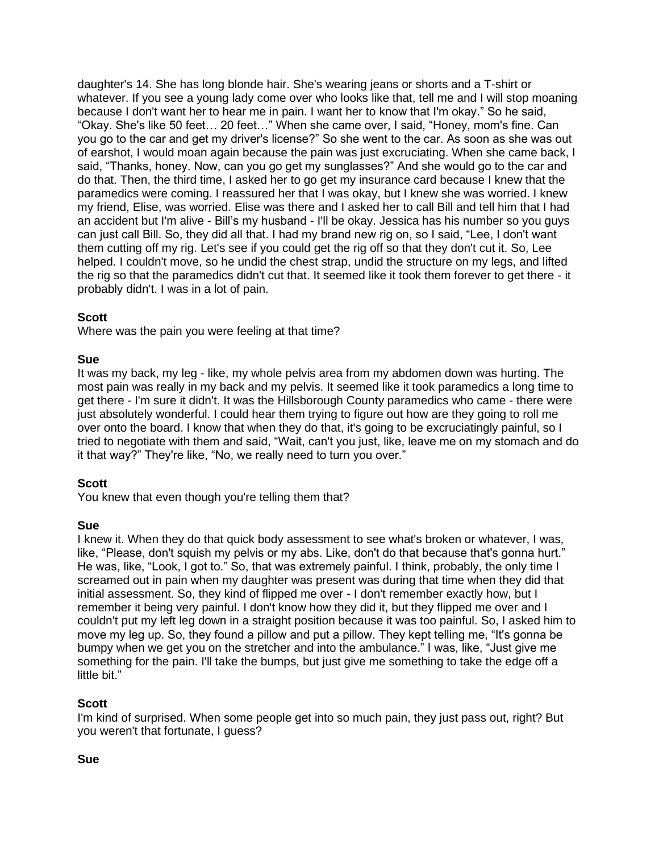daughter's 14. She has long blonde hair. She's wearing jeans or shorts and a T-shirt or whatever. If you see a young lady come over who looks like that, tell me and I will stop moaning because I don't want her to hear me in pain. I want her to know that I'm okay." So he said, "Okay. She's like 50 feet… 20 feet…" When she came over, I said, "Honey, mom's fine. Can you go to the car and get my driver's license?" So she went to the car. As soon as she was out of earshot, I would moan again because the pain was just excruciating. When she came back, I said, "Thanks, honey. Now, can you go get my sunglasses?" And she would go to the car and do that. Then, the third time, I asked her to go get my insurance card because I knew that the paramedics were coming. I reassured her that I was okay, but I knew she was worried. I knew my friend, Elise, was worried. Elise was there and I asked her to call Bill and tell him that I had an accident but I'm alive - Bill's my husband - I'll be okay. Jessica has his number so you guys can just call Bill. So, they did all that. I had my brand new rig on, so I said, "Lee, I don't want them cutting off my rig. Let's see if you could get the rig off so that they don't cut it. So, Lee helped. I couldn't move, so he undid the chest strap, undid the structure on my legs, and lifted the rig so that the paramedics didn't cut that. It seemed like it took them forever to get there - it probably didn't. I was in a lot of pain.

#### **Scott**

Where was the pain you were feeling at that time?

#### **Sue**

It was my back, my leg - like, my whole pelvis area from my abdomen down was hurting. The most pain was really in my back and my pelvis. It seemed like it took paramedics a long time to get there - I'm sure it didn't. It was the Hillsborough County paramedics who came - there were just absolutely wonderful. I could hear them trying to figure out how are they going to roll me over onto the board. I know that when they do that, it's going to be excruciatingly painful, so I tried to negotiate with them and said, "Wait, can't you just, like, leave me on my stomach and do it that way?" They're like, "No, we really need to turn you over."

# **Scott**

You knew that even though you're telling them that?

# **Sue**

I knew it. When they do that quick body assessment to see what's broken or whatever, I was, like, "Please, don't squish my pelvis or my abs. Like, don't do that because that's gonna hurt." He was, like, "Look, I got to." So, that was extremely painful. I think, probably, the only time I screamed out in pain when my daughter was present was during that time when they did that initial assessment. So, they kind of flipped me over - I don't remember exactly how, but I remember it being very painful. I don't know how they did it, but they flipped me over and I couldn't put my left leg down in a straight position because it was too painful. So, I asked him to move my leg up. So, they found a pillow and put a pillow. They kept telling me, "It's gonna be bumpy when we get you on the stretcher and into the ambulance." I was, like, "Just give me something for the pain. I'll take the bumps, but just give me something to take the edge off a little bit."

# **Scott**

I'm kind of surprised. When some people get into so much pain, they just pass out, right? But you weren't that fortunate, I guess?

#### **Sue**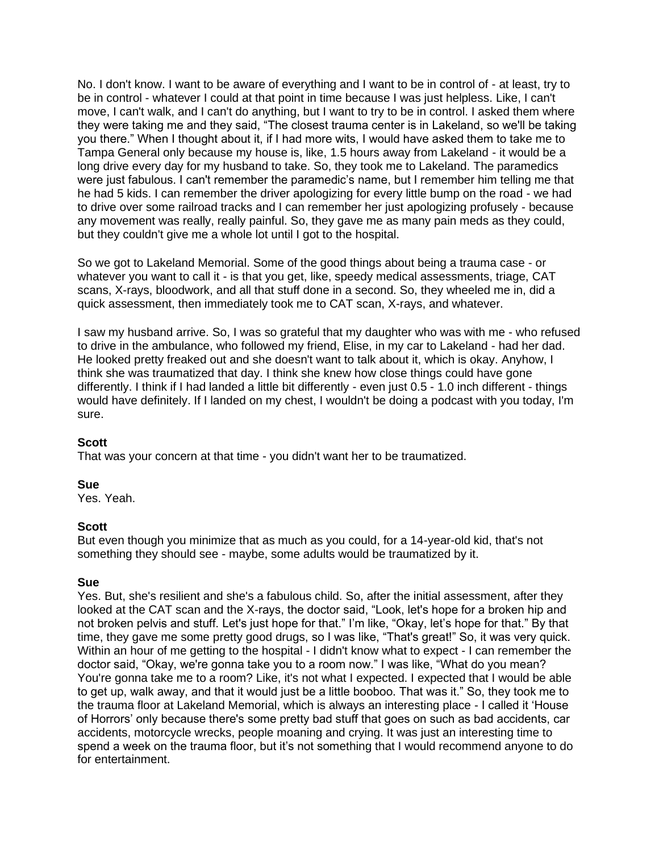No. I don't know. I want to be aware of everything and I want to be in control of - at least, try to be in control - whatever I could at that point in time because I was just helpless. Like, I can't move, I can't walk, and I can't do anything, but I want to try to be in control. I asked them where they were taking me and they said, "The closest trauma center is in Lakeland, so we'll be taking you there." When I thought about it, if I had more wits, I would have asked them to take me to Tampa General only because my house is, like, 1.5 hours away from Lakeland - it would be a long drive every day for my husband to take. So, they took me to Lakeland. The paramedics were just fabulous. I can't remember the paramedic's name, but I remember him telling me that he had 5 kids. I can remember the driver apologizing for every little bump on the road - we had to drive over some railroad tracks and I can remember her just apologizing profusely - because any movement was really, really painful. So, they gave me as many pain meds as they could, but they couldn't give me a whole lot until I got to the hospital.

So we got to Lakeland Memorial. Some of the good things about being a trauma case - or whatever you want to call it - is that you get, like, speedy medical assessments, triage, CAT scans, X-rays, bloodwork, and all that stuff done in a second. So, they wheeled me in, did a quick assessment, then immediately took me to CAT scan, X-rays, and whatever.

I saw my husband arrive. So, I was so grateful that my daughter who was with me - who refused to drive in the ambulance, who followed my friend, Elise, in my car to Lakeland - had her dad. He looked pretty freaked out and she doesn't want to talk about it, which is okay. Anyhow, I think she was traumatized that day. I think she knew how close things could have gone differently. I think if I had landed a little bit differently - even just 0.5 - 1.0 inch different - things would have definitely. If I landed on my chest, I wouldn't be doing a podcast with you today, I'm sure.

#### **Scott**

That was your concern at that time - you didn't want her to be traumatized.

#### **Sue**

Yes. Yeah.

#### **Scott**

But even though you minimize that as much as you could, for a 14-year-old kid, that's not something they should see - maybe, some adults would be traumatized by it.

#### **Sue**

Yes. But, she's resilient and she's a fabulous child. So, after the initial assessment, after they looked at the CAT scan and the X-rays, the doctor said, "Look, let's hope for a broken hip and not broken pelvis and stuff. Let's just hope for that." I'm like, "Okay, let's hope for that." By that time, they gave me some pretty good drugs, so I was like, "That's great!" So, it was very quick. Within an hour of me getting to the hospital - I didn't know what to expect - I can remember the doctor said, "Okay, we're gonna take you to a room now." I was like, "What do you mean? You're gonna take me to a room? Like, it's not what I expected. I expected that I would be able to get up, walk away, and that it would just be a little booboo. That was it." So, they took me to the trauma floor at Lakeland Memorial, which is always an interesting place - I called it 'House of Horrors' only because there's some pretty bad stuff that goes on such as bad accidents, car accidents, motorcycle wrecks, people moaning and crying. It was just an interesting time to spend a week on the trauma floor, but it's not something that I would recommend anyone to do for entertainment.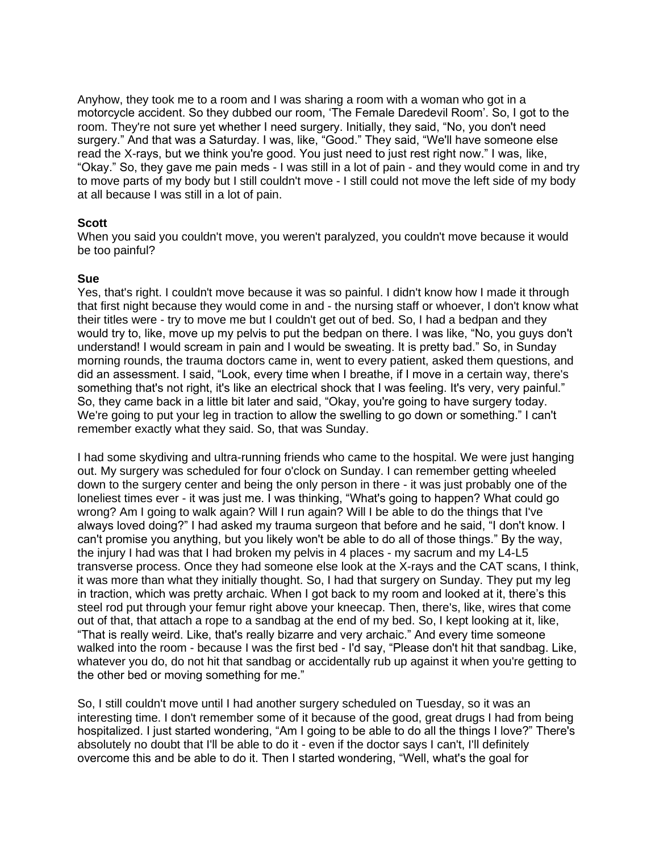Anyhow, they took me to a room and I was sharing a room with a woman who got in a motorcycle accident. So they dubbed our room, 'The Female Daredevil Room'. So, I got to the room. They're not sure yet whether I need surgery. Initially, they said, "No, you don't need surgery." And that was a Saturday. I was, like, "Good." They said, "We'll have someone else read the X-rays, but we think you're good. You just need to just rest right now." I was, like, "Okay." So, they gave me pain meds - I was still in a lot of pain - and they would come in and try to move parts of my body but I still couldn't move - I still could not move the left side of my body at all because I was still in a lot of pain.

# **Scott**

When you said you couldn't move, you weren't paralyzed, you couldn't move because it would be too painful?

#### **Sue**

Yes, that's right. I couldn't move because it was so painful. I didn't know how I made it through that first night because they would come in and - the nursing staff or whoever, I don't know what their titles were - try to move me but I couldn't get out of bed. So, I had a bedpan and they would try to, like, move up my pelvis to put the bedpan on there. I was like, "No, you guys don't understand! I would scream in pain and I would be sweating. It is pretty bad." So, in Sunday morning rounds, the trauma doctors came in, went to every patient, asked them questions, and did an assessment. I said, "Look, every time when I breathe, if I move in a certain way, there's something that's not right, it's like an electrical shock that I was feeling. It's very, very painful." So, they came back in a little bit later and said, "Okay, you're going to have surgery today. We're going to put your leg in traction to allow the swelling to go down or something." I can't remember exactly what they said. So, that was Sunday.

I had some skydiving and ultra-running friends who came to the hospital. We were just hanging out. My surgery was scheduled for four o'clock on Sunday. I can remember getting wheeled down to the surgery center and being the only person in there - it was just probably one of the loneliest times ever - it was just me. I was thinking, "What's going to happen? What could go wrong? Am I going to walk again? Will I run again? Will I be able to do the things that I've always loved doing?" I had asked my trauma surgeon that before and he said, "I don't know. I can't promise you anything, but you likely won't be able to do all of those things." By the way, the injury I had was that I had broken my pelvis in 4 places - my sacrum and my L4-L5 transverse process. Once they had someone else look at the X-rays and the CAT scans, I think, it was more than what they initially thought. So, I had that surgery on Sunday. They put my leg in traction, which was pretty archaic. When I got back to my room and looked at it, there's this steel rod put through your femur right above your kneecap. Then, there's, like, wires that come out of that, that attach a rope to a sandbag at the end of my bed. So, I kept looking at it, like, "That is really weird. Like, that's really bizarre and very archaic." And every time someone walked into the room - because I was the first bed - I'd say, "Please don't hit that sandbag. Like, whatever you do, do not hit that sandbag or accidentally rub up against it when you're getting to the other bed or moving something for me."

So, I still couldn't move until I had another surgery scheduled on Tuesday, so it was an interesting time. I don't remember some of it because of the good, great drugs I had from being hospitalized. I just started wondering, "Am I going to be able to do all the things I love?" There's absolutely no doubt that I'll be able to do it - even if the doctor says I can't, I'll definitely overcome this and be able to do it. Then I started wondering, "Well, what's the goal for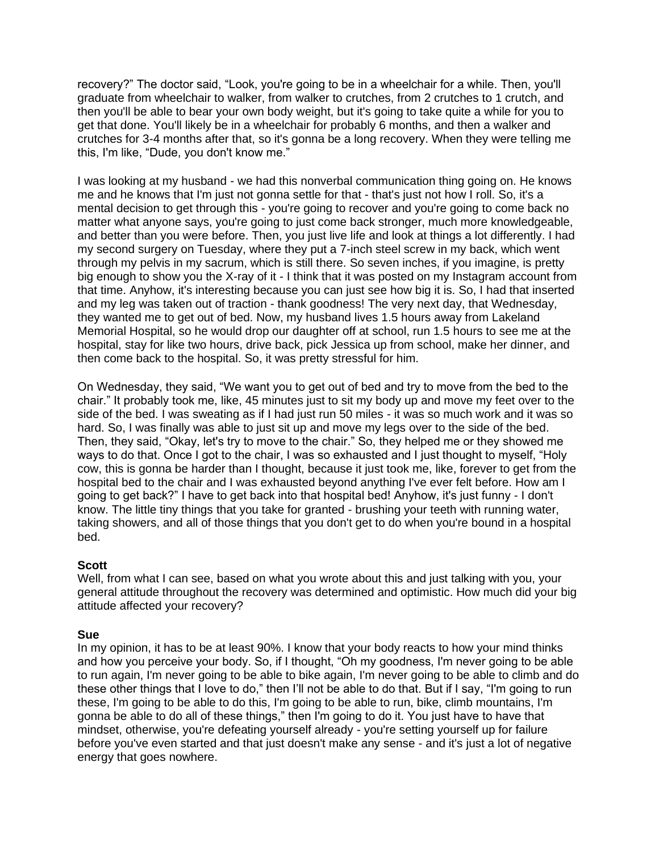recovery?" The doctor said, "Look, you're going to be in a wheelchair for a while. Then, you'll graduate from wheelchair to walker, from walker to crutches, from 2 crutches to 1 crutch, and then you'll be able to bear your own body weight, but it's going to take quite a while for you to get that done. You'll likely be in a wheelchair for probably 6 months, and then a walker and crutches for 3-4 months after that, so it's gonna be a long recovery. When they were telling me this, I'm like, "Dude, you don't know me."

I was looking at my husband - we had this nonverbal communication thing going on. He knows me and he knows that I'm just not gonna settle for that - that's just not how I roll. So, it's a mental decision to get through this - you're going to recover and you're going to come back no matter what anyone says, you're going to just come back stronger, much more knowledgeable, and better than you were before. Then, you just live life and look at things a lot differently. I had my second surgery on Tuesday, where they put a 7-inch steel screw in my back, which went through my pelvis in my sacrum, which is still there. So seven inches, if you imagine, is pretty big enough to show you the X-ray of it - I think that it was posted on my Instagram account from that time. Anyhow, it's interesting because you can just see how big it is. So, I had that inserted and my leg was taken out of traction - thank goodness! The very next day, that Wednesday, they wanted me to get out of bed. Now, my husband lives 1.5 hours away from Lakeland Memorial Hospital, so he would drop our daughter off at school, run 1.5 hours to see me at the hospital, stay for like two hours, drive back, pick Jessica up from school, make her dinner, and then come back to the hospital. So, it was pretty stressful for him.

On Wednesday, they said, "We want you to get out of bed and try to move from the bed to the chair." It probably took me, like, 45 minutes just to sit my body up and move my feet over to the side of the bed. I was sweating as if I had just run 50 miles - it was so much work and it was so hard. So, I was finally was able to just sit up and move my legs over to the side of the bed. Then, they said, "Okay, let's try to move to the chair." So, they helped me or they showed me ways to do that. Once I got to the chair, I was so exhausted and I just thought to myself, "Holy cow, this is gonna be harder than I thought, because it just took me, like, forever to get from the hospital bed to the chair and I was exhausted beyond anything I've ever felt before. How am I going to get back?" I have to get back into that hospital bed! Anyhow, it's just funny - I don't know. The little tiny things that you take for granted - brushing your teeth with running water, taking showers, and all of those things that you don't get to do when you're bound in a hospital bed.

#### **Scott**

Well, from what I can see, based on what you wrote about this and just talking with you, your general attitude throughout the recovery was determined and optimistic. How much did your big attitude affected your recovery?

# **Sue**

In my opinion, it has to be at least 90%. I know that your body reacts to how your mind thinks and how you perceive your body. So, if I thought, "Oh my goodness, I'm never going to be able to run again, I'm never going to be able to bike again, I'm never going to be able to climb and do these other things that I love to do," then I'll not be able to do that. But if I say, "I'm going to run these, I'm going to be able to do this, I'm going to be able to run, bike, climb mountains, I'm gonna be able to do all of these things," then I'm going to do it. You just have to have that mindset, otherwise, you're defeating yourself already - you're setting yourself up for failure before you've even started and that just doesn't make any sense - and it's just a lot of negative energy that goes nowhere.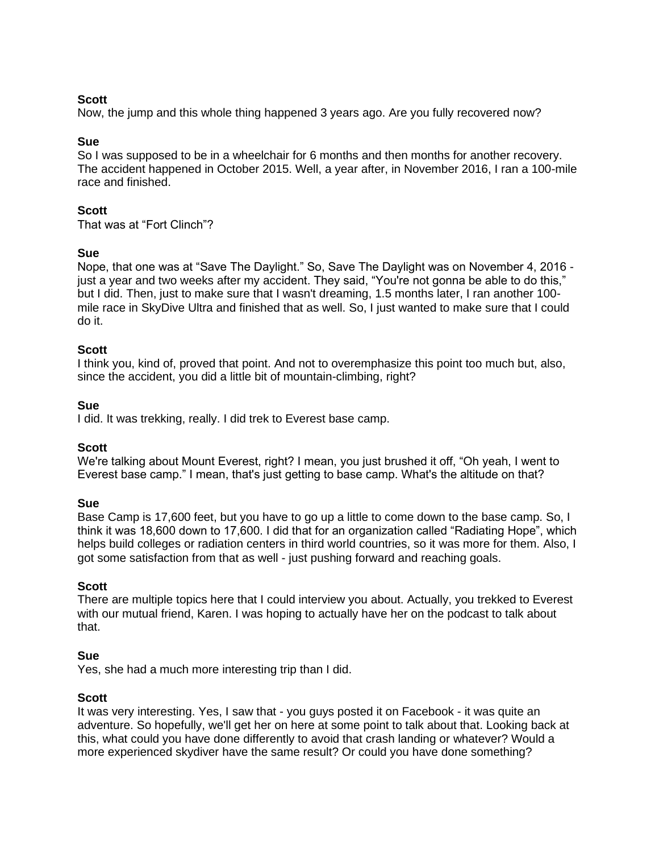### **Scott**

Now, the jump and this whole thing happened 3 years ago. Are you fully recovered now?

### **Sue**

So I was supposed to be in a wheelchair for 6 months and then months for another recovery. The accident happened in October 2015. Well, a year after, in November 2016, I ran a 100-mile race and finished.

### **Scott**

That was at "Fort Clinch"?

#### **Sue**

Nope, that one was at "Save The Daylight." So, Save The Daylight was on November 4, 2016 just a year and two weeks after my accident. They said, "You're not gonna be able to do this," but I did. Then, just to make sure that I wasn't dreaming, 1.5 months later, I ran another 100 mile race in SkyDive Ultra and finished that as well. So, I just wanted to make sure that I could do it.

#### **Scott**

I think you, kind of, proved that point. And not to overemphasize this point too much but, also, since the accident, you did a little bit of mountain-climbing, right?

#### **Sue**

I did. It was trekking, really. I did trek to Everest base camp.

#### **Scott**

We're talking about Mount Everest, right? I mean, you just brushed it off, "Oh yeah, I went to Everest base camp." I mean, that's just getting to base camp. What's the altitude on that?

#### **Sue**

Base Camp is 17,600 feet, but you have to go up a little to come down to the base camp. So, I think it was 18,600 down to 17,600. I did that for an organization called "Radiating Hope", which helps build colleges or radiation centers in third world countries, so it was more for them. Also, I got some satisfaction from that as well - just pushing forward and reaching goals.

# **Scott**

There are multiple topics here that I could interview you about. Actually, you trekked to Everest with our mutual friend, Karen. I was hoping to actually have her on the podcast to talk about that.

# **Sue**

Yes, she had a much more interesting trip than I did.

# **Scott**

It was very interesting. Yes, I saw that - you guys posted it on Facebook - it was quite an adventure. So hopefully, we'll get her on here at some point to talk about that. Looking back at this, what could you have done differently to avoid that crash landing or whatever? Would a more experienced skydiver have the same result? Or could you have done something?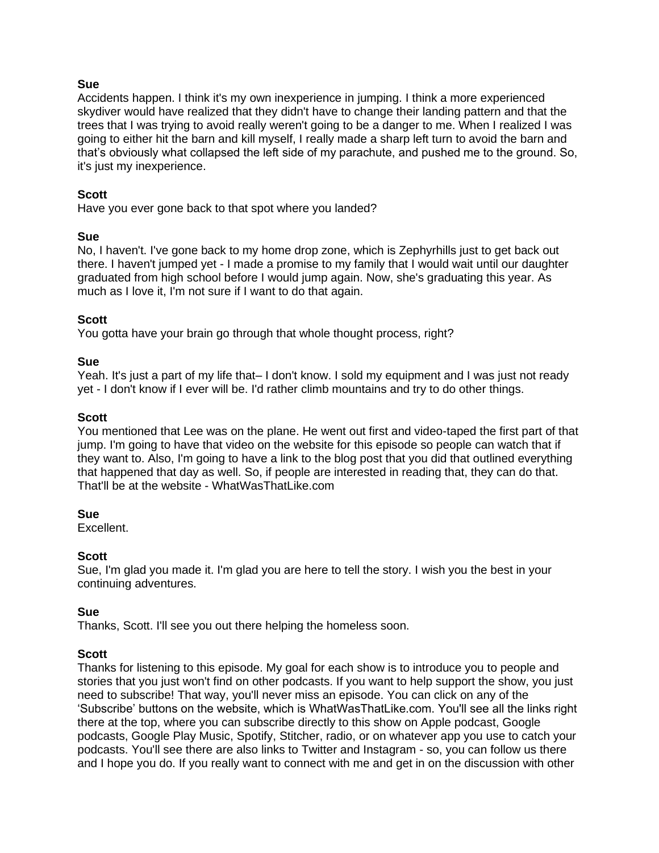### **Sue**

Accidents happen. I think it's my own inexperience in jumping. I think a more experienced skydiver would have realized that they didn't have to change their landing pattern and that the trees that I was trying to avoid really weren't going to be a danger to me. When I realized I was going to either hit the barn and kill myself, I really made a sharp left turn to avoid the barn and that's obviously what collapsed the left side of my parachute, and pushed me to the ground. So, it's just my inexperience.

# **Scott**

Have you ever gone back to that spot where you landed?

#### **Sue**

No, I haven't. I've gone back to my home drop zone, which is Zephyrhills just to get back out there. I haven't jumped yet - I made a promise to my family that I would wait until our daughter graduated from high school before I would jump again. Now, she's graduating this year. As much as I love it, I'm not sure if I want to do that again.

# **Scott**

You gotta have your brain go through that whole thought process, right?

#### **Sue**

Yeah. It's just a part of my life that– I don't know. I sold my equipment and I was just not ready yet - I don't know if I ever will be. I'd rather climb mountains and try to do other things.

#### **Scott**

You mentioned that Lee was on the plane. He went out first and video-taped the first part of that jump. I'm going to have that video on the website for this episode so people can watch that if they want to. Also, I'm going to have a link to the blog post that you did that outlined everything that happened that day as well. So, if people are interested in reading that, they can do that. That'll be at the website - WhatWasThatLike.com

# **Sue**

Excellent.

# **Scott**

Sue, I'm glad you made it. I'm glad you are here to tell the story. I wish you the best in your continuing adventures.

# **Sue**

Thanks, Scott. I'll see you out there helping the homeless soon.

# **Scott**

Thanks for listening to this episode. My goal for each show is to introduce you to people and stories that you just won't find on other podcasts. If you want to help support the show, you just need to subscribe! That way, you'll never miss an episode. You can click on any of the 'Subscribe' buttons on the website, which is WhatWasThatLike.com. You'll see all the links right there at the top, where you can subscribe directly to this show on Apple podcast, Google podcasts, Google Play Music, Spotify, Stitcher, radio, or on whatever app you use to catch your podcasts. You'll see there are also links to Twitter and Instagram - so, you can follow us there and I hope you do. If you really want to connect with me and get in on the discussion with other